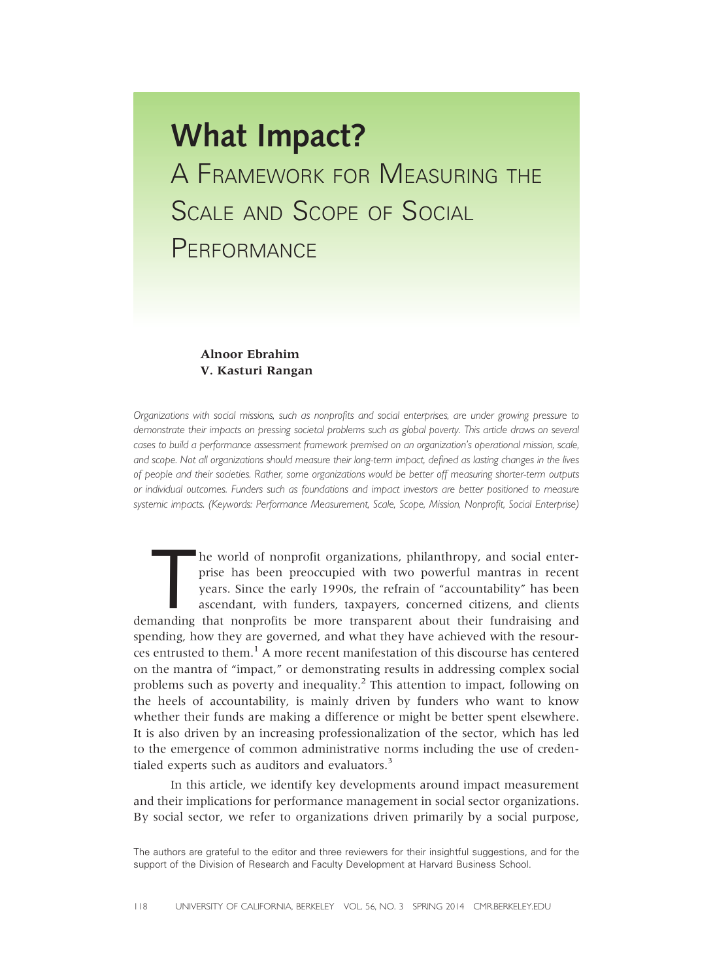# What Impact? A FRAMEWORK FOR MEASURING THE SCALE AND SCOPE OF SOCIAL **PERFORMANCE**

#### **Alnoor Ebrahim** V. Kasturi Rangan  $\mathcal{C}$

Organizations with social missions, such as nonprofits and social enterprises, are under growing pressure to demonstrate their impacts on pressing societal problems such as global poverty. This article draws on several cases to build a performance assessment framework premised on an organization's operational mission, scale, and scope. Not all organizations should measure their long-term impact, defined as lasting changes in the lives of people and their societies. Rather, some organizations would be better off measuring shorter-term outputs or individual outcomes. Funders such as foundations and impact investors are better positioned to measure systemic impacts. (Keywords: Performance Measurement, Scale, Scope, Mission, Nonprofit, Social Enterprise)

he world of nonprofit organizations, philanthropy, and social enter-<br>prise has been preoccupied with two powerful mantras in recent<br>years. Since the early 1990s, the refrain of "accountability" has been<br>ascendant, with fun he world of nonprofit organizations, philanthropy, and social enterprise has been preoccupied with two powerful mantras in recent years. Since the early 1990s, the refrain of "accountability" has been ascendant, with funders, taxpayers, concerned citizens, and clients spending, how they are governed, and what they have achieved with the resources entrusted to them.<sup>1</sup> A more recent manifestation of this discourse has centered on the mantra of "impact," or demonstrating results in addressing complex social problems such as poverty and inequality.<sup>2</sup> This attention to impact, following on the heels of accountability, is mainly driven by funders who want to know whether their funds are making a difference or might be better spent elsewhere. It is also driven by an increasing professionalization of the sector, which has led to the emergence of common administrative norms including the use of credentialed experts such as auditors and evaluators. $3$ 

In this article, we identify key developments around impact measurement and their implications for performance management in social sector organizations. By social sector, we refer to organizations driven primarily by a social purpose,

The authors are grateful to the editor and three reviewers for their insightful suggestions, and for the support of the Division of Research and Faculty Development at Harvard Business School.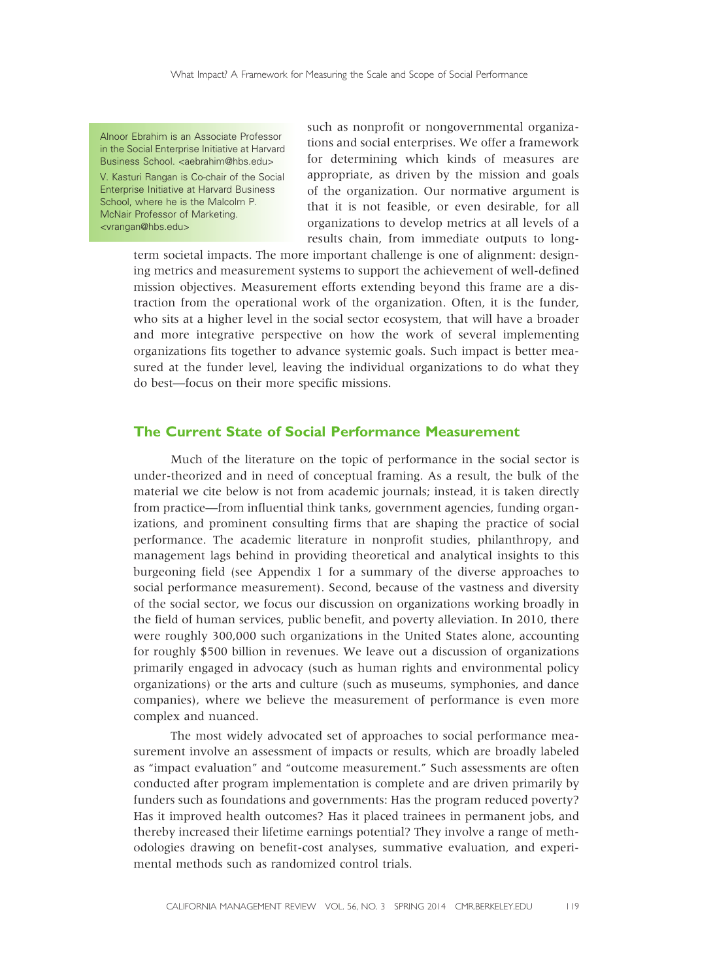Alnoor Ebrahim is an Associate Professor in the Social Enterprise Initiative at Harvard Business School. <aebrahim@hbs.edu>

V. Kasturi Rangan is Co-chair of the Social Enterprise Initiative at Harvard Business School, where he is the Malcolm P. McNair Professor of Marketing. <vrangan@hbs.edu>

such as nonprofit or nongovernmental organizations and social enterprises. We offer a framework for determining which kinds of measures are appropriate, as driven by the mission and goals of the organization. Our normative argument is that it is not feasible, or even desirable, for all organizations to develop metrics at all levels of a results chain, from immediate outputs to long-

term societal impacts. The more important challenge is one of alignment: designing metrics and measurement systems to support the achievement of well-defined mission objectives. Measurement efforts extending beyond this frame are a distraction from the operational work of the organization. Often, it is the funder, who sits at a higher level in the social sector ecosystem, that will have a broader and more integrative perspective on how the work of several implementing organizations fits together to advance systemic goals. Such impact is better measured at the funder level, leaving the individual organizations to do what they do best—focus on their more specific missions.

### The Current State of Social Performance Measurement

Much of the literature on the topic of performance in the social sector is under-theorized and in need of conceptual framing. As a result, the bulk of the material we cite below is not from academic journals; instead, it is taken directly from practice—from influential think tanks, government agencies, funding organizations, and prominent consulting firms that are shaping the practice of social performance. The academic literature in nonprofit studies, philanthropy, and management lags behind in providing theoretical and analytical insights to this burgeoning field (see Appendix 1 for a summary of the diverse approaches to social performance measurement). Second, because of the vastness and diversity of the social sector, we focus our discussion on organizations working broadly in the field of human services, public benefit, and poverty alleviation. In 2010, there were roughly 300,000 such organizations in the United States alone, accounting for roughly \$500 billion in revenues. We leave out a discussion of organizations primarily engaged in advocacy (such as human rights and environmental policy organizations) or the arts and culture (such as museums, symphonies, and dance companies), where we believe the measurement of performance is even more complex and nuanced.

The most widely advocated set of approaches to social performance measurement involve an assessment of impacts or results, which are broadly labeled as "impact evaluation" and "outcome measurement." Such assessments are often conducted after program implementation is complete and are driven primarily by funders such as foundations and governments: Has the program reduced poverty? Has it improved health outcomes? Has it placed trainees in permanent jobs, and thereby increased their lifetime earnings potential? They involve a range of methodologies drawing on benefit-cost analyses, summative evaluation, and experimental methods such as randomized control trials.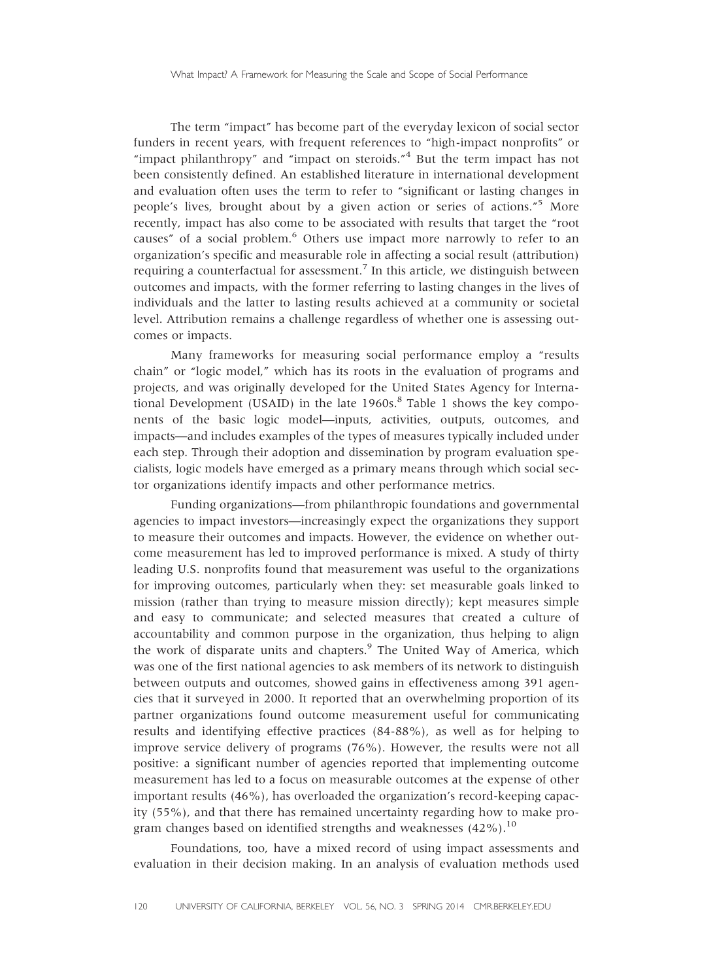The term "impact" has become part of the everyday lexicon of social sector funders in recent years, with frequent references to "high-impact nonprofits" or "impact philanthropy" and "impact on steroids."<sup>4</sup> But the term impact has not been consistently defined. An established literature in international development and evaluation often uses the term to refer to "significant or lasting changes in people's lives, brought about by a given action or series of actions." <sup>5</sup> More recently, impact has also come to be associated with results that target the "root causes" of a social problem.<sup>6</sup> Others use impact more narrowly to refer to an organization's specific and measurable role in affecting a social result (attribution) requiring a counterfactual for assessment.<sup>7</sup> In this article, we distinguish between outcomes and impacts, with the former referring to lasting changes in the lives of individuals and the latter to lasting results achieved at a community or societal level. Attribution remains a challenge regardless of whether one is assessing outcomes or impacts.

Many frameworks for measuring social performance employ a "results chain" or "logic model," which has its roots in the evaluation of programs and projects, and was originally developed for the United States Agency for International Development (USAID) in the late  $1960s$ .<sup>8</sup> Table 1 shows the key components of the basic logic model—inputs, activities, outputs, outcomes, and impacts—and includes examples of the types of measures typically included under each step. Through their adoption and dissemination by program evaluation specialists, logic models have emerged as a primary means through which social sector organizations identify impacts and other performance metrics.

Funding organizations—from philanthropic foundations and governmental agencies to impact investors—increasingly expect the organizations they support to measure their outcomes and impacts. However, the evidence on whether outcome measurement has led to improved performance is mixed. A study of thirty leading U.S. nonprofits found that measurement was useful to the organizations for improving outcomes, particularly when they: set measurable goals linked to mission (rather than trying to measure mission directly); kept measures simple and easy to communicate; and selected measures that created a culture of accountability and common purpose in the organization, thus helping to align the work of disparate units and chapters.<sup>9</sup> The United Way of America, which was one of the first national agencies to ask members of its network to distinguish between outputs and outcomes, showed gains in effectiveness among 391 agencies that it surveyed in 2000. It reported that an overwhelming proportion of its partner organizations found outcome measurement useful for communicating results and identifying effective practices (84-88%), as well as for helping to improve service delivery of programs (76%). However, the results were not all positive: a significant number of agencies reported that implementing outcome measurement has led to a focus on measurable outcomes at the expense of other important results (46%), has overloaded the organization's record-keeping capacity (55%), and that there has remained uncertainty regarding how to make program changes based on identified strengths and weaknesses (42%).<sup>10</sup>

Foundations, too, have a mixed record of using impact assessments and evaluation in their decision making. In an analysis of evaluation methods used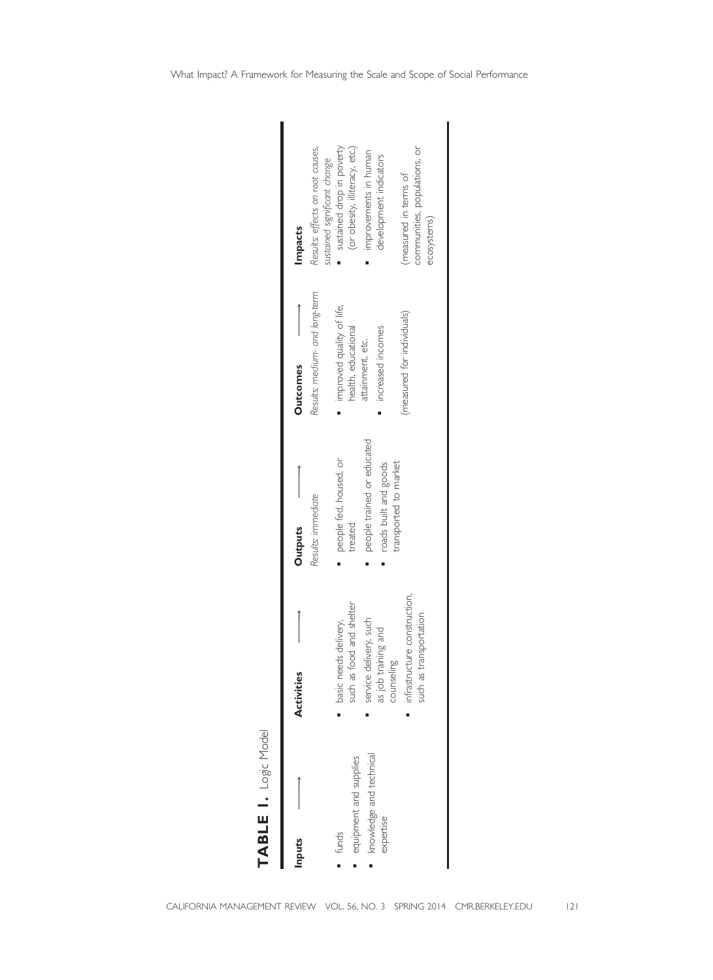TABLE I. Logic Model TABLE  $\blacksquare$  logic Model

| Inputs                                                                 | Activities                                                                                                                                                                 | <b>Outputs</b>                                                                                                    | <b>Outcomes</b>                                                                                                         | Impacts                                                                                                                                                                                |
|------------------------------------------------------------------------|----------------------------------------------------------------------------------------------------------------------------------------------------------------------------|-------------------------------------------------------------------------------------------------------------------|-------------------------------------------------------------------------------------------------------------------------|----------------------------------------------------------------------------------------------------------------------------------------------------------------------------------------|
|                                                                        |                                                                                                                                                                            | Results: immediate                                                                                                | Results: medium- and long-term                                                                                          | Results: effects on root causes,<br>sustained significant change                                                                                                                       |
| mowledge and technical<br>equipment and supplies<br>expertise<br>funds | infrastructure construction,<br>such as food and shelter<br>such as transportation<br>basic needs delivery,<br>service delivery, such<br>as job training and<br>guilasunc. | people trained or educated<br>people fed, housed, or<br>transported to market<br>roads built and goods<br>treated | improved quality of life,<br>(measured for individuals)<br>health, educational<br>increased incomes<br>attainment, etc. | sustained drop in poverty<br>(or obesity, illiteracy, etc.)<br>communities, populations, or<br>improvements in human<br>development indicators<br>imeasured in terms of<br>ecosystems) |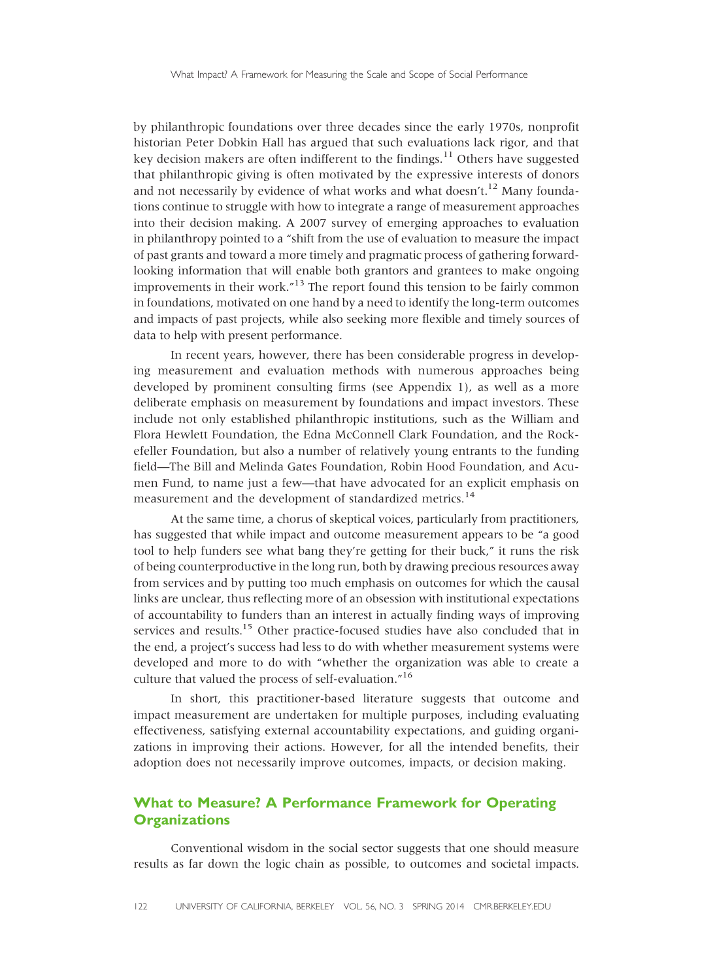by philanthropic foundations over three decades since the early 1970s, nonprofit historian Peter Dobkin Hall has argued that such evaluations lack rigor, and that key decision makers are often indifferent to the findings.<sup>11</sup> Others have suggested that philanthropic giving is often motivated by the expressive interests of donors and not necessarily by evidence of what works and what doesn't.<sup>12</sup> Many foundations continue to struggle with how to integrate a range of measurement approaches into their decision making. A 2007 survey of emerging approaches to evaluation in philanthropy pointed to a "shift from the use of evaluation to measure the impact of past grants and toward a more timely and pragmatic process of gathering forwardlooking information that will enable both grantors and grantees to make ongoing improvements in their work."<sup>13</sup> The report found this tension to be fairly common in foundations, motivated on one hand by a need to identify the long-term outcomes and impacts of past projects, while also seeking more flexible and timely sources of data to help with present performance.

In recent years, however, there has been considerable progress in developing measurement and evaluation methods with numerous approaches being developed by prominent consulting firms (see Appendix 1), as well as a more deliberate emphasis on measurement by foundations and impact investors. These include not only established philanthropic institutions, such as the William and Flora Hewlett Foundation, the Edna McConnell Clark Foundation, and the Rockefeller Foundation, but also a number of relatively young entrants to the funding field—The Bill and Melinda Gates Foundation, Robin Hood Foundation, and Acumen Fund, to name just a few—that have advocated for an explicit emphasis on measurement and the development of standardized metrics.<sup>14</sup>

At the same time, a chorus of skeptical voices, particularly from practitioners, has suggested that while impact and outcome measurement appears to be "a good tool to help funders see what bang they're getting for their buck," it runs the risk of being counterproductive in the long run, both by drawing precious resources away from services and by putting too much emphasis on outcomes for which the causal links are unclear, thus reflecting more of an obsession with institutional expectations of accountability to funders than an interest in actually finding ways of improving services and results.<sup>15</sup> Other practice-focused studies have also concluded that in the end, a project's success had less to do with whether measurement systems were developed and more to do with "whether the organization was able to create a culture that valued the process of self-evaluation."<sup>16</sup>

In short, this practitioner-based literature suggests that outcome and impact measurement are undertaken for multiple purposes, including evaluating effectiveness, satisfying external accountability expectations, and guiding organizations in improving their actions. However, for all the intended benefits, their adoption does not necessarily improve outcomes, impacts, or decision making.

# What to Measure? A Performance Framework for Operating **Organizations**

Conventional wisdom in the social sector suggests that one should measure results as far down the logic chain as possible, to outcomes and societal impacts.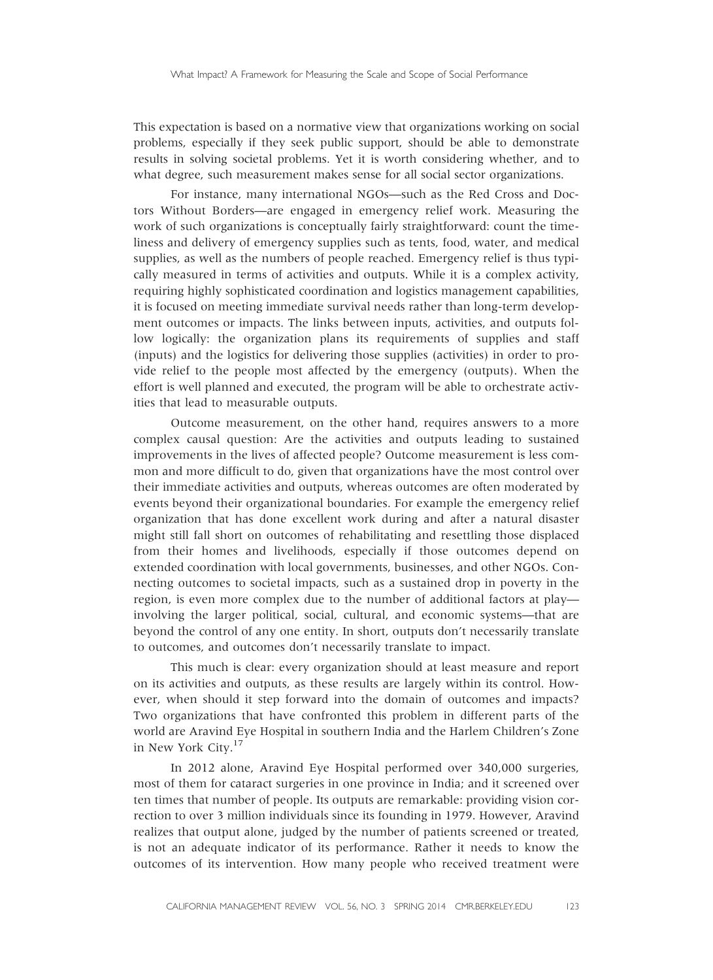This expectation is based on a normative view that organizations working on social problems, especially if they seek public support, should be able to demonstrate results in solving societal problems. Yet it is worth considering whether, and to what degree, such measurement makes sense for all social sector organizations.

For instance, many international NGOs—such as the Red Cross and Doctors Without Borders—are engaged in emergency relief work. Measuring the work of such organizations is conceptually fairly straightforward: count the timeliness and delivery of emergency supplies such as tents, food, water, and medical supplies, as well as the numbers of people reached. Emergency relief is thus typically measured in terms of activities and outputs. While it is a complex activity, requiring highly sophisticated coordination and logistics management capabilities, it is focused on meeting immediate survival needs rather than long-term development outcomes or impacts. The links between inputs, activities, and outputs follow logically: the organization plans its requirements of supplies and staff (inputs) and the logistics for delivering those supplies (activities) in order to provide relief to the people most affected by the emergency (outputs). When the effort is well planned and executed, the program will be able to orchestrate activities that lead to measurable outputs.

Outcome measurement, on the other hand, requires answers to a more complex causal question: Are the activities and outputs leading to sustained improvements in the lives of affected people? Outcome measurement is less common and more difficult to do, given that organizations have the most control over their immediate activities and outputs, whereas outcomes are often moderated by events beyond their organizational boundaries. For example the emergency relief organization that has done excellent work during and after a natural disaster might still fall short on outcomes of rehabilitating and resettling those displaced from their homes and livelihoods, especially if those outcomes depend on extended coordination with local governments, businesses, and other NGOs. Connecting outcomes to societal impacts, such as a sustained drop in poverty in the region, is even more complex due to the number of additional factors at play involving the larger political, social, cultural, and economic systems—that are beyond the control of any one entity. In short, outputs don't necessarily translate to outcomes, and outcomes don't necessarily translate to impact.

This much is clear: every organization should at least measure and report on its activities and outputs, as these results are largely within its control. However, when should it step forward into the domain of outcomes and impacts? Two organizations that have confronted this problem in different parts of the world are Aravind Eye Hospital in southern India and the Harlem Children's Zone in New York City.17

In 2012 alone, Aravind Eye Hospital performed over 340,000 surgeries, most of them for cataract surgeries in one province in India; and it screened over ten times that number of people. Its outputs are remarkable: providing vision correction to over 3 million individuals since its founding in 1979. However, Aravind realizes that output alone, judged by the number of patients screened or treated, is not an adequate indicator of its performance. Rather it needs to know the outcomes of its intervention. How many people who received treatment were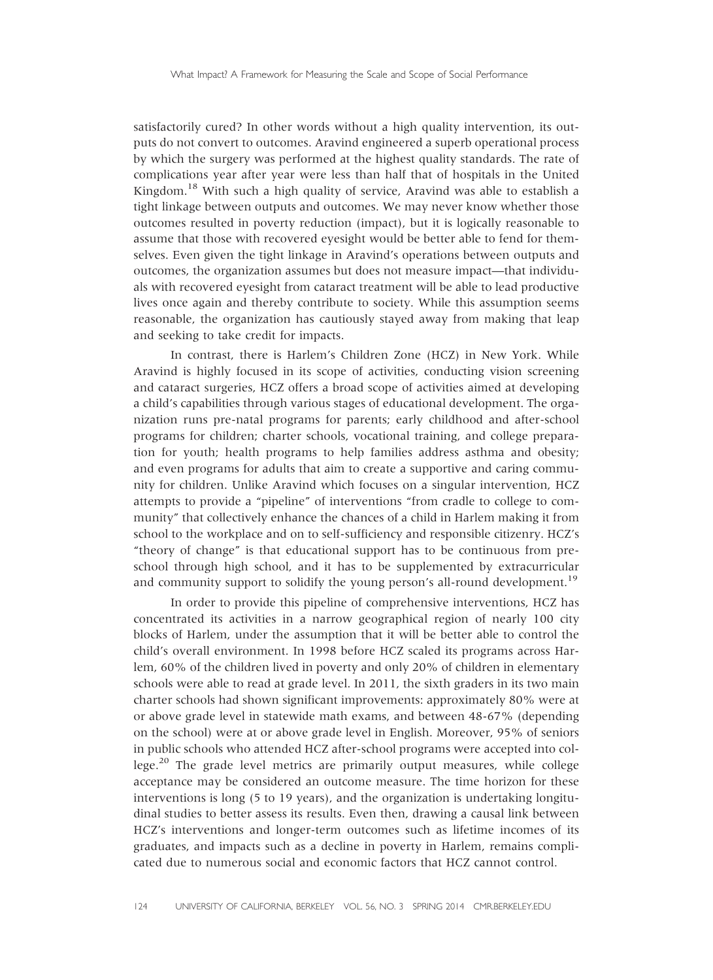satisfactorily cured? In other words without a high quality intervention, its outputs do not convert to outcomes. Aravind engineered a superb operational process by which the surgery was performed at the highest quality standards. The rate of complications year after year were less than half that of hospitals in the United Kingdom.<sup>18</sup> With such a high quality of service, Aravind was able to establish a tight linkage between outputs and outcomes. We may never know whether those outcomes resulted in poverty reduction (impact), but it is logically reasonable to assume that those with recovered eyesight would be better able to fend for themselves. Even given the tight linkage in Aravind's operations between outputs and outcomes, the organization assumes but does not measure impact—that individuals with recovered eyesight from cataract treatment will be able to lead productive lives once again and thereby contribute to society. While this assumption seems reasonable, the organization has cautiously stayed away from making that leap and seeking to take credit for impacts.

In contrast, there is Harlem's Children Zone (HCZ) in New York. While Aravind is highly focused in its scope of activities, conducting vision screening and cataract surgeries, HCZ offers a broad scope of activities aimed at developing a child's capabilities through various stages of educational development. The organization runs pre-natal programs for parents; early childhood and after-school programs for children; charter schools, vocational training, and college preparation for youth; health programs to help families address asthma and obesity; and even programs for adults that aim to create a supportive and caring community for children. Unlike Aravind which focuses on a singular intervention, HCZ attempts to provide a "pipeline" of interventions "from cradle to college to community" that collectively enhance the chances of a child in Harlem making it from school to the workplace and on to self-sufficiency and responsible citizenry. HCZ's "theory of change" is that educational support has to be continuous from preschool through high school, and it has to be supplemented by extracurricular and community support to solidify the young person's all-round development.<sup>19</sup>

In order to provide this pipeline of comprehensive interventions, HCZ has concentrated its activities in a narrow geographical region of nearly 100 city blocks of Harlem, under the assumption that it will be better able to control the child's overall environment. In 1998 before HCZ scaled its programs across Harlem, 60% of the children lived in poverty and only 20% of children in elementary schools were able to read at grade level. In 2011, the sixth graders in its two main charter schools had shown significant improvements: approximately 80% were at or above grade level in statewide math exams, and between 48-67% (depending on the school) were at or above grade level in English. Moreover, 95% of seniors in public schools who attended HCZ after-school programs were accepted into college.<sup>20</sup> The grade level metrics are primarily output measures, while college acceptance may be considered an outcome measure. The time horizon for these interventions is long (5 to 19 years), and the organization is undertaking longitudinal studies to better assess its results. Even then, drawing a causal link between HCZ's interventions and longer-term outcomes such as lifetime incomes of its graduates, and impacts such as a decline in poverty in Harlem, remains complicated due to numerous social and economic factors that HCZ cannot control.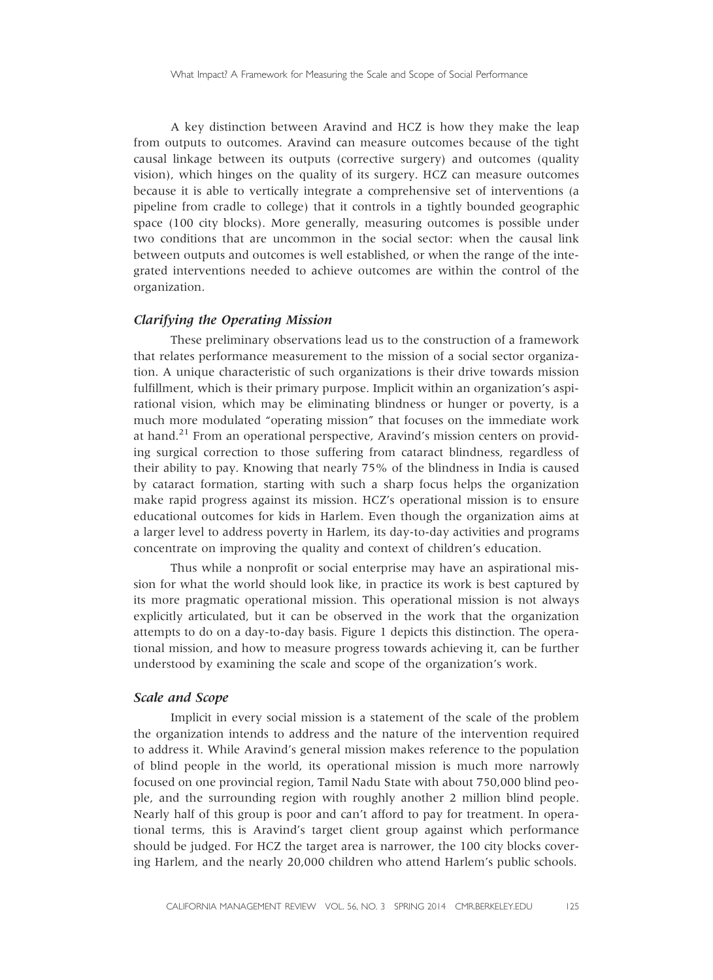A key distinction between Aravind and HCZ is how they make the leap from outputs to outcomes. Aravind can measure outcomes because of the tight causal linkage between its outputs (corrective surgery) and outcomes (quality vision), which hinges on the quality of its surgery. HCZ can measure outcomes because it is able to vertically integrate a comprehensive set of interventions (a pipeline from cradle to college) that it controls in a tightly bounded geographic space (100 city blocks). More generally, measuring outcomes is possible under two conditions that are uncommon in the social sector: when the causal link between outputs and outcomes is well established, or when the range of the integrated interventions needed to achieve outcomes are within the control of the organization.

#### Clarifying the Operating Mission

These preliminary observations lead us to the construction of a framework that relates performance measurement to the mission of a social sector organization. A unique characteristic of such organizations is their drive towards mission fulfillment, which is their primary purpose. Implicit within an organization's aspirational vision, which may be eliminating blindness or hunger or poverty, is a much more modulated "operating mission" that focuses on the immediate work at hand.<sup>21</sup> From an operational perspective, Aravind's mission centers on providing surgical correction to those suffering from cataract blindness, regardless of their ability to pay. Knowing that nearly 75% of the blindness in India is caused by cataract formation, starting with such a sharp focus helps the organization make rapid progress against its mission. HCZ's operational mission is to ensure educational outcomes for kids in Harlem. Even though the organization aims at a larger level to address poverty in Harlem, its day-to-day activities and programs concentrate on improving the quality and context of children's education.

Thus while a nonprofit or social enterprise may have an aspirational mission for what the world should look like, in practice its work is best captured by its more pragmatic operational mission. This operational mission is not always explicitly articulated, but it can be observed in the work that the organization attempts to do on a day-to-day basis. Figure 1 depicts this distinction. The operational mission, and how to measure progress towards achieving it, can be further understood by examining the scale and scope of the organization's work.

# Scale and Scope

Implicit in every social mission is a statement of the scale of the problem the organization intends to address and the nature of the intervention required to address it. While Aravind's general mission makes reference to the population of blind people in the world, its operational mission is much more narrowly focused on one provincial region, Tamil Nadu State with about 750,000 blind people, and the surrounding region with roughly another 2 million blind people. Nearly half of this group is poor and can't afford to pay for treatment. In operational terms, this is Aravind's target client group against which performance should be judged. For HCZ the target area is narrower, the 100 city blocks covering Harlem, and the nearly 20,000 children who attend Harlem's public schools.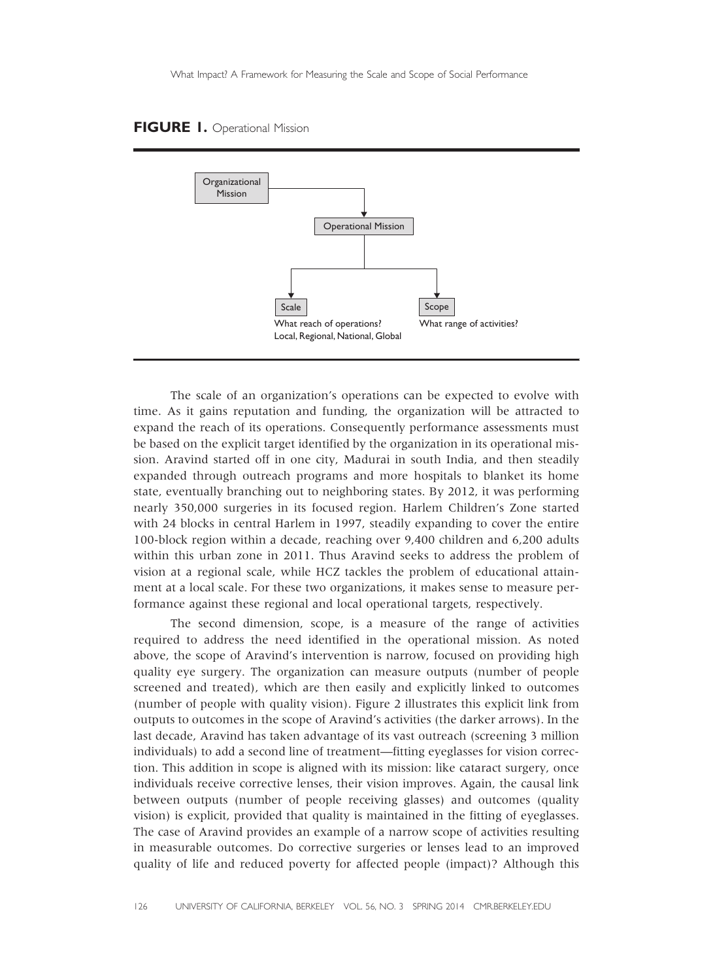#### FIGURE 1. Operational Mission



The scale of an organization's operations can be expected to evolve with time. As it gains reputation and funding, the organization will be attracted to expand the reach of its operations. Consequently performance assessments must be based on the explicit target identified by the organization in its operational mission. Aravind started off in one city, Madurai in south India, and then steadily expanded through outreach programs and more hospitals to blanket its home state, eventually branching out to neighboring states. By 2012, it was performing nearly 350,000 surgeries in its focused region. Harlem Children's Zone started with 24 blocks in central Harlem in 1997, steadily expanding to cover the entire 100-block region within a decade, reaching over 9,400 children and 6,200 adults within this urban zone in 2011. Thus Aravind seeks to address the problem of vision at a regional scale, while HCZ tackles the problem of educational attainment at a local scale. For these two organizations, it makes sense to measure performance against these regional and local operational targets, respectively.

The second dimension, scope, is a measure of the range of activities required to address the need identified in the operational mission. As noted above, the scope of Aravind's intervention is narrow, focused on providing high quality eye surgery. The organization can measure outputs (number of people screened and treated), which are then easily and explicitly linked to outcomes (number of people with quality vision). Figure 2 illustrates this explicit link from outputs to outcomes in the scope of Aravind's activities (the darker arrows). In the last decade, Aravind has taken advantage of its vast outreach (screening 3 million individuals) to add a second line of treatment—fitting eyeglasses for vision correction. This addition in scope is aligned with its mission: like cataract surgery, once individuals receive corrective lenses, their vision improves. Again, the causal link between outputs (number of people receiving glasses) and outcomes (quality vision) is explicit, provided that quality is maintained in the fitting of eyeglasses. The case of Aravind provides an example of a narrow scope of activities resulting in measurable outcomes. Do corrective surgeries or lenses lead to an improved quality of life and reduced poverty for affected people (impact)? Although this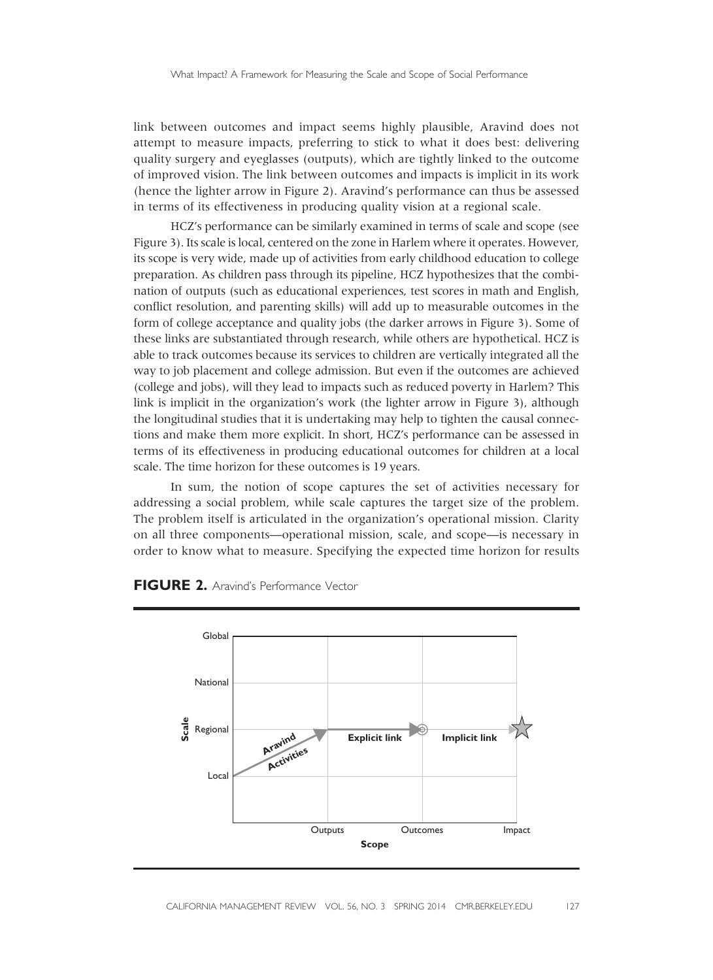link between outcomes and impact seems highly plausible, Aravind does not attempt to measure impacts, preferring to stick to what it does best: delivering quality surgery and eyeglasses (outputs), which are tightly linked to the outcome of improved vision. The link between outcomes and impacts is implicit in its work (hence the lighter arrow in Figure 2). Aravind's performance can thus be assessed in terms of its effectiveness in producing quality vision at a regional scale.

HCZ's performance can be similarly examined in terms of scale and scope (see Figure 3). Its scale is local, centered on the zone in Harlem where it operates. However, its scope is very wide, made up of activities from early childhood education to college preparation. As children pass through its pipeline, HCZ hypothesizes that the combination of outputs (such as educational experiences, test scores in math and English, conflict resolution, and parenting skills) will add up to measurable outcomes in the form of college acceptance and quality jobs (the darker arrows in Figure 3). Some of these links are substantiated through research, while others are hypothetical. HCZ is able to track outcomes because its services to children are vertically integrated all the way to job placement and college admission. But even if the outcomes are achieved (college and jobs), will they lead to impacts such as reduced poverty in Harlem? This link is implicit in the organization's work (the lighter arrow in Figure 3), although the longitudinal studies that it is undertaking may help to tighten the causal connections and make them more explicit. In short, HCZ's performance can be assessed in terms of its effectiveness in producing educational outcomes for children at a local scale. The time horizon for these outcomes is 19 years.

In sum, the notion of scope captures the set of activities necessary for addressing a social problem, while scale captures the target size of the problem. The problem itself is articulated in the organization's operational mission. Clarity on all three components—operational mission, scale, and scope—is necessary in order to know what to measure. Specifying the expected time horizon for results



#### FIGURE 2. Aravind's Performance Vector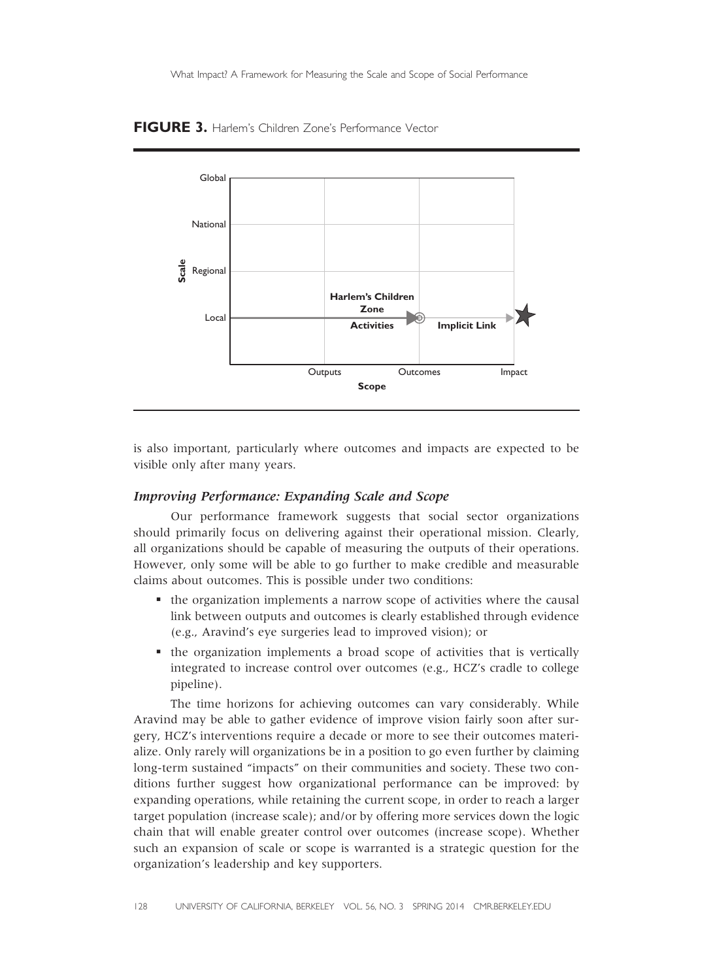FIGURE 3. Harlem's Children Zone's Performance Vector



is also important, particularly where outcomes and impacts are expected to be visible only after many years.

#### Improving Performance: Expanding Scale and Scope

Our performance framework suggests that social sector organizations should primarily focus on delivering against their operational mission. Clearly, all organizations should be capable of measuring the outputs of their operations. However, only some will be able to go further to make credible and measurable claims about outcomes. This is possible under two conditions:

- § the organization implements a narrow scope of activities where the causal link between outputs and outcomes is clearly established through evidence (e.g., Aravind's eye surgeries lead to improved vision); or
- § the organization implements a broad scope of activities that is vertically integrated to increase control over outcomes (e.g., HCZ's cradle to college pipeline).

The time horizons for achieving outcomes can vary considerably. While Aravind may be able to gather evidence of improve vision fairly soon after surgery, HCZ's interventions require a decade or more to see their outcomes materialize. Only rarely will organizations be in a position to go even further by claiming long-term sustained "impacts" on their communities and society. These two conditions further suggest how organizational performance can be improved: by expanding operations, while retaining the current scope, in order to reach a larger target population (increase scale); and/or by offering more services down the logic chain that will enable greater control over outcomes (increase scope). Whether such an expansion of scale or scope is warranted is a strategic question for the organization's leadership and key supporters.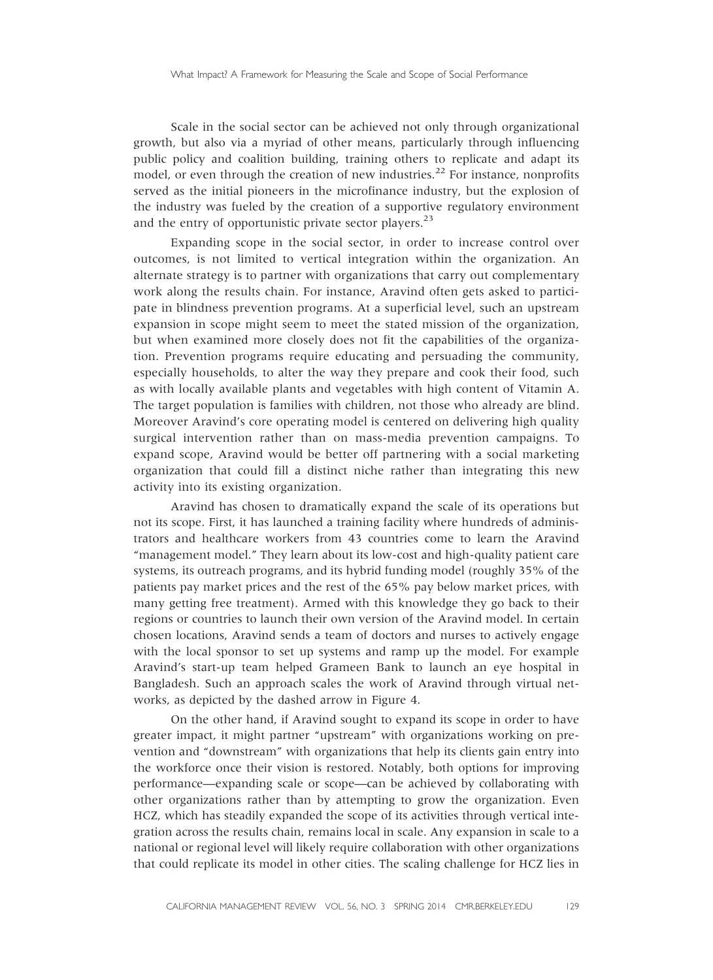Scale in the social sector can be achieved not only through organizational growth, but also via a myriad of other means, particularly through influencing public policy and coalition building, training others to replicate and adapt its model, or even through the creation of new industries.<sup>22</sup> For instance, nonprofits served as the initial pioneers in the microfinance industry, but the explosion of the industry was fueled by the creation of a supportive regulatory environment and the entry of opportunistic private sector players. $^{23}$ 

Expanding scope in the social sector, in order to increase control over outcomes, is not limited to vertical integration within the organization. An alternate strategy is to partner with organizations that carry out complementary work along the results chain. For instance, Aravind often gets asked to participate in blindness prevention programs. At a superficial level, such an upstream expansion in scope might seem to meet the stated mission of the organization, but when examined more closely does not fit the capabilities of the organization. Prevention programs require educating and persuading the community, especially households, to alter the way they prepare and cook their food, such as with locally available plants and vegetables with high content of Vitamin A. The target population is families with children, not those who already are blind. Moreover Aravind's core operating model is centered on delivering high quality surgical intervention rather than on mass-media prevention campaigns. To expand scope, Aravind would be better off partnering with a social marketing organization that could fill a distinct niche rather than integrating this new activity into its existing organization.

Aravind has chosen to dramatically expand the scale of its operations but not its scope. First, it has launched a training facility where hundreds of administrators and healthcare workers from 43 countries come to learn the Aravind "management model." They learn about its low-cost and high-quality patient care systems, its outreach programs, and its hybrid funding model (roughly 35% of the patients pay market prices and the rest of the 65% pay below market prices, with many getting free treatment). Armed with this knowledge they go back to their regions or countries to launch their own version of the Aravind model. In certain chosen locations, Aravind sends a team of doctors and nurses to actively engage with the local sponsor to set up systems and ramp up the model. For example Aravind's start-up team helped Grameen Bank to launch an eye hospital in Bangladesh. Such an approach scales the work of Aravind through virtual networks, as depicted by the dashed arrow in Figure 4.

On the other hand, if Aravind sought to expand its scope in order to have greater impact, it might partner "upstream" with organizations working on prevention and "downstream" with organizations that help its clients gain entry into the workforce once their vision is restored. Notably, both options for improving performance—expanding scale or scope—can be achieved by collaborating with other organizations rather than by attempting to grow the organization. Even HCZ, which has steadily expanded the scope of its activities through vertical integration across the results chain, remains local in scale. Any expansion in scale to a national or regional level will likely require collaboration with other organizations that could replicate its model in other cities. The scaling challenge for HCZ lies in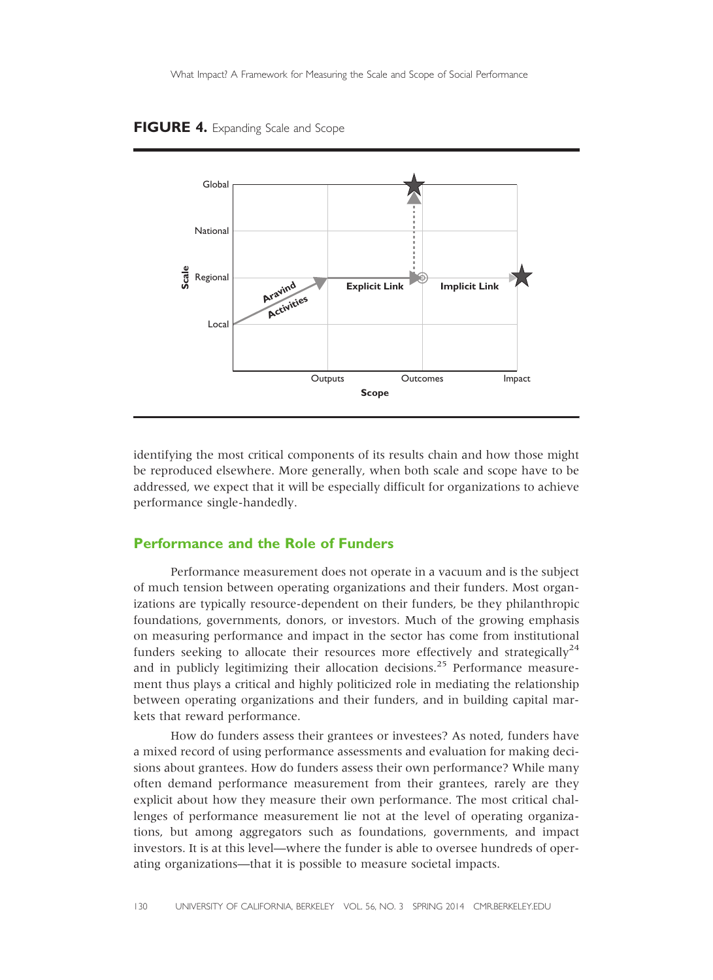#### FIGURE 4. Expanding Scale and Scope



identifying the most critical components of its results chain and how those might be reproduced elsewhere. More generally, when both scale and scope have to be addressed, we expect that it will be especially difficult for organizations to achieve performance single-handedly.

# Performance and the Role of Funders

Performance measurement does not operate in a vacuum and is the subject of much tension between operating organizations and their funders. Most organizations are typically resource-dependent on their funders, be they philanthropic foundations, governments, donors, or investors. Much of the growing emphasis on measuring performance and impact in the sector has come from institutional funders seeking to allocate their resources more effectively and strategically<sup>24</sup> and in publicly legitimizing their allocation decisions.<sup>25</sup> Performance measurement thus plays a critical and highly politicized role in mediating the relationship between operating organizations and their funders, and in building capital markets that reward performance.

How do funders assess their grantees or investees? As noted, funders have a mixed record of using performance assessments and evaluation for making decisions about grantees. How do funders assess their own performance? While many often demand performance measurement from their grantees, rarely are they explicit about how they measure their own performance. The most critical challenges of performance measurement lie not at the level of operating organizations, but among aggregators such as foundations, governments, and impact investors. It is at this level—where the funder is able to oversee hundreds of operating organizations—that it is possible to measure societal impacts.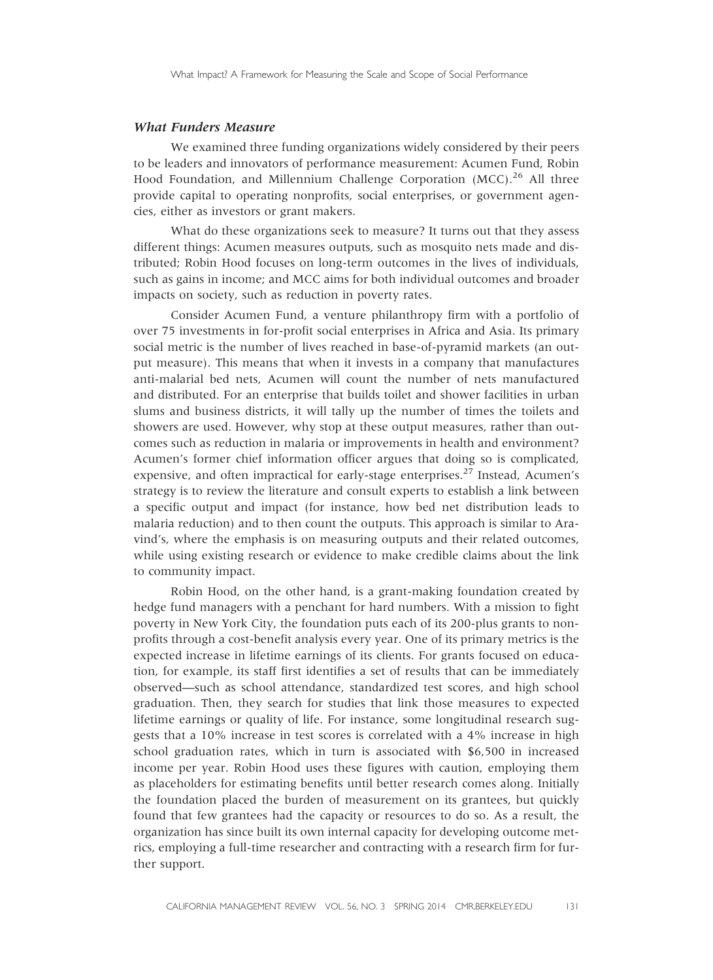#### What Funders Measure

We examined three funding organizations widely considered by their peers to be leaders and innovators of performance measurement: Acumen Fund, Robin Hood Foundation, and Millennium Challenge Corporation (MCC).<sup>26</sup> All three provide capital to operating nonprofits, social enterprises, or government agencies, either as investors or grant makers.

What do these organizations seek to measure? It turns out that they assess different things: Acumen measures outputs, such as mosquito nets made and distributed; Robin Hood focuses on long-term outcomes in the lives of individuals, such as gains in income; and MCC aims for both individual outcomes and broader impacts on society, such as reduction in poverty rates.

Consider Acumen Fund, a venture philanthropy firm with a portfolio of over 75 investments in for-profit social enterprises in Africa and Asia. Its primary social metric is the number of lives reached in base-of-pyramid markets (an output measure). This means that when it invests in a company that manufactures anti-malarial bed nets, Acumen will count the number of nets manufactured and distributed. For an enterprise that builds toilet and shower facilities in urban slums and business districts, it will tally up the number of times the toilets and showers are used. However, why stop at these output measures, rather than outcomes such as reduction in malaria or improvements in health and environment? Acumen's former chief information officer argues that doing so is complicated, expensive, and often impractical for early-stage enterprises. $2\overline{7}$  Instead, Acumen's strategy is to review the literature and consult experts to establish a link between a specific output and impact (for instance, how bed net distribution leads to malaria reduction) and to then count the outputs. This approach is similar to Aravind's, where the emphasis is on measuring outputs and their related outcomes, while using existing research or evidence to make credible claims about the link to community impact.

Robin Hood, on the other hand, is a grant-making foundation created by hedge fund managers with a penchant for hard numbers. With a mission to fight poverty in New York City, the foundation puts each of its 200-plus grants to nonprofits through a cost-benefit analysis every year. One of its primary metrics is the expected increase in lifetime earnings of its clients. For grants focused on education, for example, its staff first identifies a set of results that can be immediately observed—such as school attendance, standardized test scores, and high school graduation. Then, they search for studies that link those measures to expected lifetime earnings or quality of life. For instance, some longitudinal research suggests that a 10% increase in test scores is correlated with a 4% increase in high school graduation rates, which in turn is associated with \$6,500 in increased income per year. Robin Hood uses these figures with caution, employing them as placeholders for estimating benefits until better research comes along. Initially the foundation placed the burden of measurement on its grantees, but quickly found that few grantees had the capacity or resources to do so. As a result, the organization has since built its own internal capacity for developing outcome metrics, employing a full-time researcher and contracting with a research firm for further support.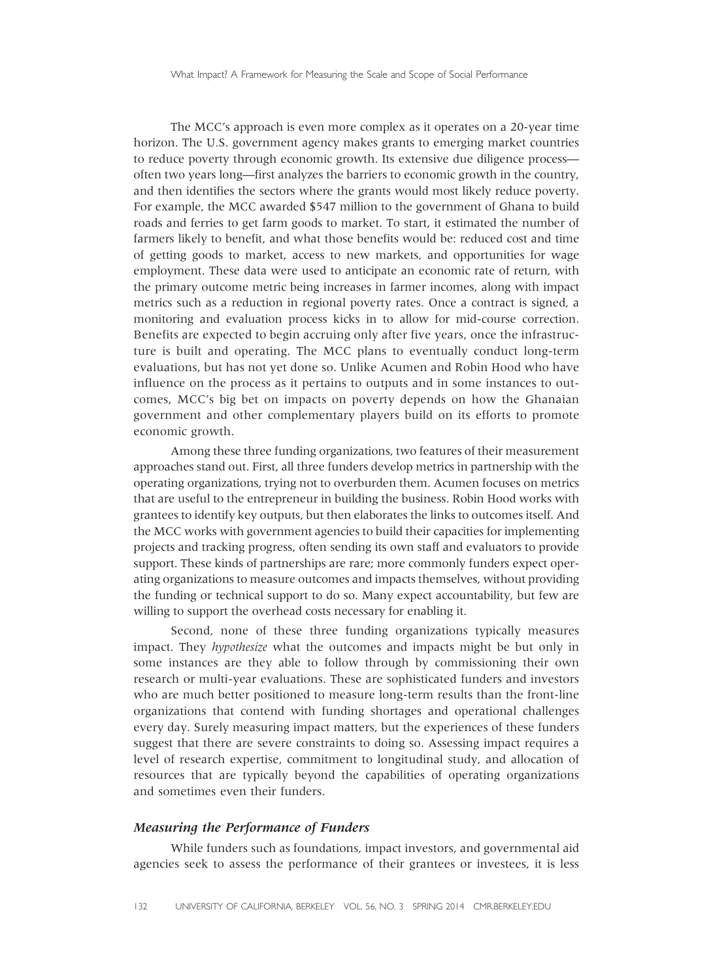The MCC's approach is even more complex as it operates on a 20-year time horizon. The U.S. government agency makes grants to emerging market countries to reduce poverty through economic growth. Its extensive due diligence process often two years long—first analyzes the barriers to economic growth in the country, and then identifies the sectors where the grants would most likely reduce poverty. For example, the MCC awarded \$547 million to the government of Ghana to build roads and ferries to get farm goods to market. To start, it estimated the number of farmers likely to benefit, and what those benefits would be: reduced cost and time of getting goods to market, access to new markets, and opportunities for wage employment. These data were used to anticipate an economic rate of return, with the primary outcome metric being increases in farmer incomes, along with impact metrics such as a reduction in regional poverty rates. Once a contract is signed, a monitoring and evaluation process kicks in to allow for mid-course correction. Benefits are expected to begin accruing only after five years, once the infrastructure is built and operating. The MCC plans to eventually conduct long-term evaluations, but has not yet done so. Unlike Acumen and Robin Hood who have influence on the process as it pertains to outputs and in some instances to outcomes, MCC's big bet on impacts on poverty depends on how the Ghanaian government and other complementary players build on its efforts to promote economic growth.

Among these three funding organizations, two features of their measurement approaches stand out. First, all three funders develop metrics in partnership with the operating organizations, trying not to overburden them. Acumen focuses on metrics that are useful to the entrepreneur in building the business. Robin Hood works with grantees to identify key outputs, but then elaborates the links to outcomes itself. And the MCC works with government agencies to build their capacities for implementing projects and tracking progress, often sending its own staff and evaluators to provide support. These kinds of partnerships are rare; more commonly funders expect operating organizations to measure outcomes and impacts themselves, without providing the funding or technical support to do so. Many expect accountability, but few are willing to support the overhead costs necessary for enabling it.

Second, none of these three funding organizations typically measures impact. They hypothesize what the outcomes and impacts might be but only in some instances are they able to follow through by commissioning their own research or multi-year evaluations. These are sophisticated funders and investors who are much better positioned to measure long-term results than the front-line organizations that contend with funding shortages and operational challenges every day. Surely measuring impact matters, but the experiences of these funders suggest that there are severe constraints to doing so. Assessing impact requires a level of research expertise, commitment to longitudinal study, and allocation of resources that are typically beyond the capabilities of operating organizations and sometimes even their funders.

#### Measuring the Performance of Funders

While funders such as foundations, impact investors, and governmental aid agencies seek to assess the performance of their grantees or investees, it is less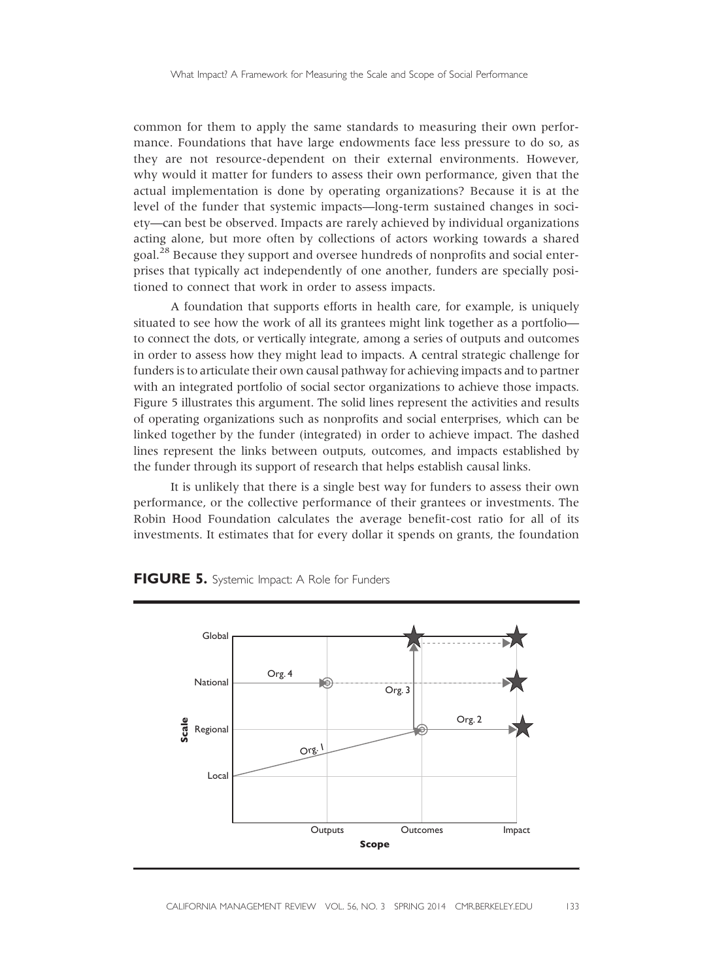common for them to apply the same standards to measuring their own performance. Foundations that have large endowments face less pressure to do so, as they are not resource-dependent on their external environments. However, why would it matter for funders to assess their own performance, given that the actual implementation is done by operating organizations? Because it is at the level of the funder that systemic impacts—long-term sustained changes in society—can best be observed. Impacts are rarely achieved by individual organizations acting alone, but more often by collections of actors working towards a shared goal.<sup>28</sup> Because they support and oversee hundreds of nonprofits and social enterprises that typically act independently of one another, funders are specially positioned to connect that work in order to assess impacts.

A foundation that supports efforts in health care, for example, is uniquely situated to see how the work of all its grantees might link together as a portfolio to connect the dots, or vertically integrate, among a series of outputs and outcomes in order to assess how they might lead to impacts. A central strategic challenge for funders is to articulate their own causal pathway for achieving impacts and to partner with an integrated portfolio of social sector organizations to achieve those impacts. Figure 5 illustrates this argument. The solid lines represent the activities and results of operating organizations such as nonprofits and social enterprises, which can be linked together by the funder (integrated) in order to achieve impact. The dashed lines represent the links between outputs, outcomes, and impacts established by the funder through its support of research that helps establish causal links.

It is unlikely that there is a single best way for funders to assess their own performance, or the collective performance of their grantees or investments. The Robin Hood Foundation calculates the average benefit-cost ratio for all of its investments. It estimates that for every dollar it spends on grants, the foundation



#### FIGURE 5. Systemic Impact: A Role for Funders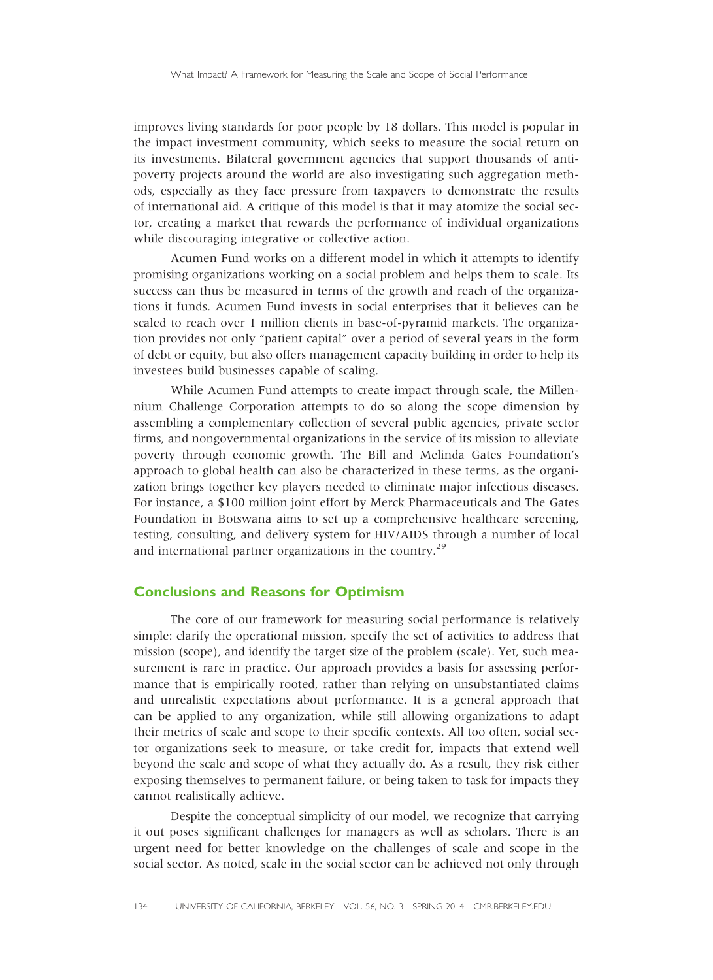improves living standards for poor people by 18 dollars. This model is popular in the impact investment community, which seeks to measure the social return on its investments. Bilateral government agencies that support thousands of antipoverty projects around the world are also investigating such aggregation methods, especially as they face pressure from taxpayers to demonstrate the results of international aid. A critique of this model is that it may atomize the social sector, creating a market that rewards the performance of individual organizations while discouraging integrative or collective action.

Acumen Fund works on a different model in which it attempts to identify promising organizations working on a social problem and helps them to scale. Its success can thus be measured in terms of the growth and reach of the organizations it funds. Acumen Fund invests in social enterprises that it believes can be scaled to reach over 1 million clients in base-of-pyramid markets. The organization provides not only "patient capital" over a period of several years in the form of debt or equity, but also offers management capacity building in order to help its investees build businesses capable of scaling.

While Acumen Fund attempts to create impact through scale, the Millennium Challenge Corporation attempts to do so along the scope dimension by assembling a complementary collection of several public agencies, private sector firms, and nongovernmental organizations in the service of its mission to alleviate poverty through economic growth. The Bill and Melinda Gates Foundation's approach to global health can also be characterized in these terms, as the organization brings together key players needed to eliminate major infectious diseases. For instance, a \$100 million joint effort by Merck Pharmaceuticals and The Gates Foundation in Botswana aims to set up a comprehensive healthcare screening, testing, consulting, and delivery system for HIV/AIDS through a number of local and international partner organizations in the country.<sup>29</sup>

# Conclusions and Reasons for Optimism

The core of our framework for measuring social performance is relatively simple: clarify the operational mission, specify the set of activities to address that mission (scope), and identify the target size of the problem (scale). Yet, such measurement is rare in practice. Our approach provides a basis for assessing performance that is empirically rooted, rather than relying on unsubstantiated claims and unrealistic expectations about performance. It is a general approach that can be applied to any organization, while still allowing organizations to adapt their metrics of scale and scope to their specific contexts. All too often, social sector organizations seek to measure, or take credit for, impacts that extend well beyond the scale and scope of what they actually do. As a result, they risk either exposing themselves to permanent failure, or being taken to task for impacts they cannot realistically achieve.

Despite the conceptual simplicity of our model, we recognize that carrying it out poses significant challenges for managers as well as scholars. There is an urgent need for better knowledge on the challenges of scale and scope in the social sector. As noted, scale in the social sector can be achieved not only through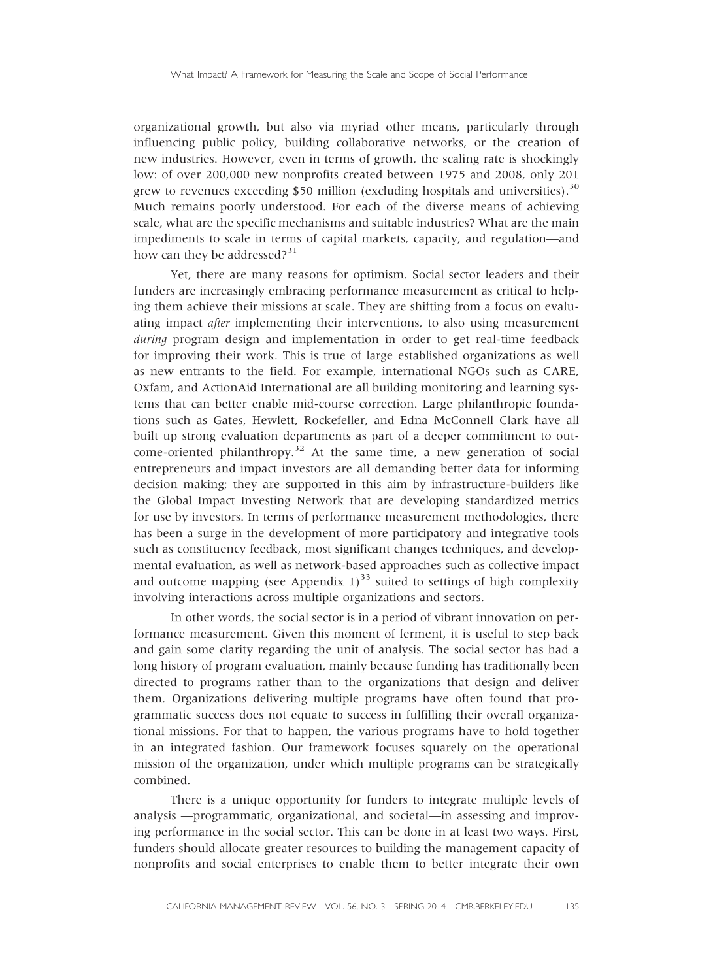organizational growth, but also via myriad other means, particularly through influencing public policy, building collaborative networks, or the creation of new industries. However, even in terms of growth, the scaling rate is shockingly low: of over 200,000 new nonprofits created between 1975 and 2008, only 201 grew to revenues exceeding \$50 million (excluding hospitals and universities).<sup>30</sup> Much remains poorly understood. For each of the diverse means of achieving scale, what are the specific mechanisms and suitable industries? What are the main impediments to scale in terms of capital markets, capacity, and regulation—and how can they be addressed? $31$ 

Yet, there are many reasons for optimism. Social sector leaders and their funders are increasingly embracing performance measurement as critical to helping them achieve their missions at scale. They are shifting from a focus on evaluating impact after implementing their interventions, to also using measurement during program design and implementation in order to get real-time feedback for improving their work. This is true of large established organizations as well as new entrants to the field. For example, international NGOs such as CARE, Oxfam, and ActionAid International are all building monitoring and learning systems that can better enable mid-course correction. Large philanthropic foundations such as Gates, Hewlett, Rockefeller, and Edna McConnell Clark have all built up strong evaluation departments as part of a deeper commitment to outcome-oriented philanthropy.<sup>32</sup> At the same time, a new generation of social entrepreneurs and impact investors are all demanding better data for informing decision making; they are supported in this aim by infrastructure-builders like the Global Impact Investing Network that are developing standardized metrics for use by investors. In terms of performance measurement methodologies, there has been a surge in the development of more participatory and integrative tools such as constituency feedback, most significant changes techniques, and developmental evaluation, as well as network-based approaches such as collective impact and outcome mapping (see Appendix  $1$ )<sup>33</sup> suited to settings of high complexity involving interactions across multiple organizations and sectors.

In other words, the social sector is in a period of vibrant innovation on performance measurement. Given this moment of ferment, it is useful to step back and gain some clarity regarding the unit of analysis. The social sector has had a long history of program evaluation, mainly because funding has traditionally been directed to programs rather than to the organizations that design and deliver them. Organizations delivering multiple programs have often found that programmatic success does not equate to success in fulfilling their overall organizational missions. For that to happen, the various programs have to hold together in an integrated fashion. Our framework focuses squarely on the operational mission of the organization, under which multiple programs can be strategically combined.

There is a unique opportunity for funders to integrate multiple levels of analysis —programmatic, organizational, and societal—in assessing and improving performance in the social sector. This can be done in at least two ways. First, funders should allocate greater resources to building the management capacity of nonprofits and social enterprises to enable them to better integrate their own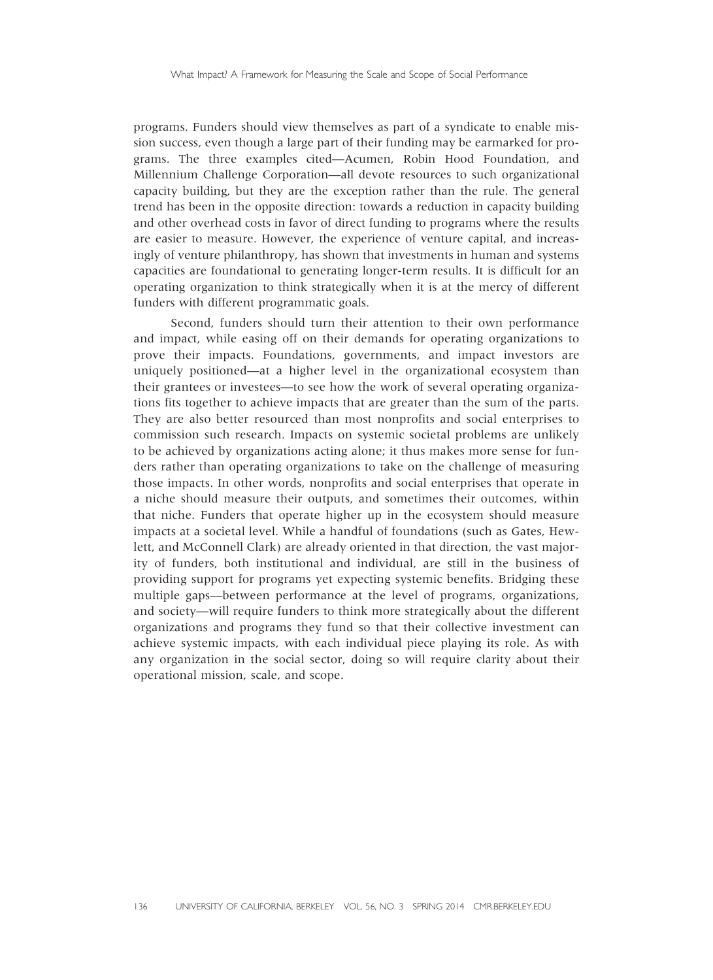programs. Funders should view themselves as part of a syndicate to enable mission success, even though a large part of their funding may be earmarked for programs. The three examples cited—Acumen, Robin Hood Foundation, and Millennium Challenge Corporation—all devote resources to such organizational capacity building, but they are the exception rather than the rule. The general trend has been in the opposite direction: towards a reduction in capacity building and other overhead costs in favor of direct funding to programs where the results are easier to measure. However, the experience of venture capital, and increasingly of venture philanthropy, has shown that investments in human and systems capacities are foundational to generating longer-term results. It is difficult for an operating organization to think strategically when it is at the mercy of different funders with different programmatic goals.

Second, funders should turn their attention to their own performance and impact, while easing off on their demands for operating organizations to prove their impacts. Foundations, governments, and impact investors are uniquely positioned—at a higher level in the organizational ecosystem than their grantees or investees—to see how the work of several operating organizations fits together to achieve impacts that are greater than the sum of the parts. They are also better resourced than most nonprofits and social enterprises to commission such research. Impacts on systemic societal problems are unlikely to be achieved by organizations acting alone; it thus makes more sense for funders rather than operating organizations to take on the challenge of measuring those impacts. In other words, nonprofits and social enterprises that operate in a niche should measure their outputs, and sometimes their outcomes, within that niche. Funders that operate higher up in the ecosystem should measure impacts at a societal level. While a handful of foundations (such as Gates, Hewlett, and McConnell Clark) are already oriented in that direction, the vast majority of funders, both institutional and individual, are still in the business of providing support for programs yet expecting systemic benefits. Bridging these multiple gaps—between performance at the level of programs, organizations, and society—will require funders to think more strategically about the different organizations and programs they fund so that their collective investment can achieve systemic impacts, with each individual piece playing its role. As with any organization in the social sector, doing so will require clarity about their operational mission, scale, and scope.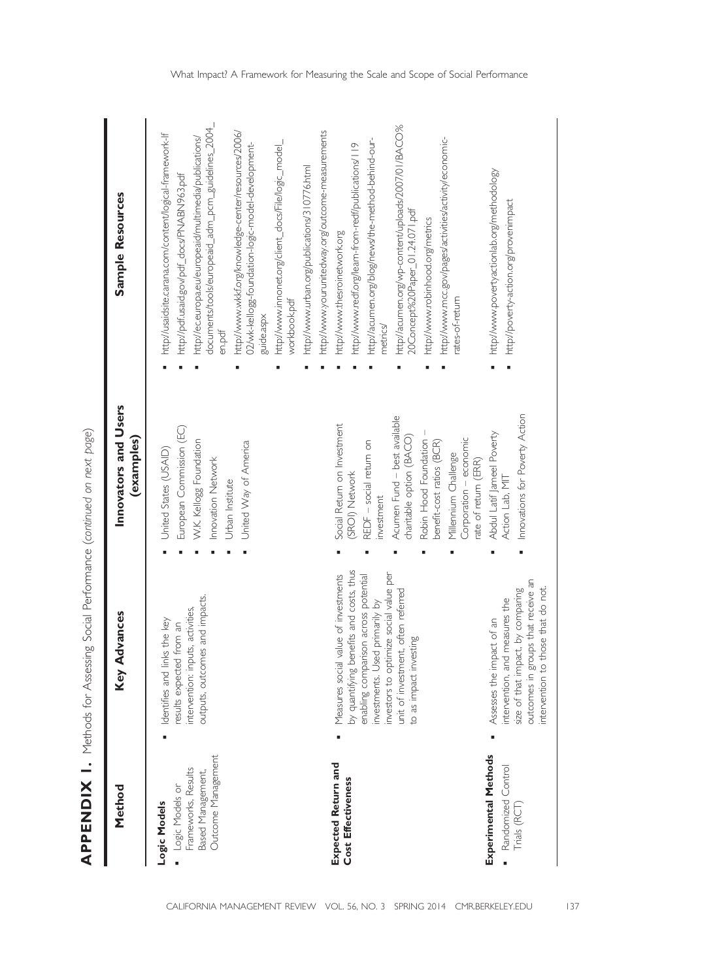| Method                                                                                            | Advances<br>Key                                                                                                                                                                                                                                                     | Innovators and Users<br>(examples)                                                                                                                                                                                                                                                | Sample Resources                                                                                                                                                                                                                                                                                                                                                                                                                                                                     |
|---------------------------------------------------------------------------------------------------|---------------------------------------------------------------------------------------------------------------------------------------------------------------------------------------------------------------------------------------------------------------------|-----------------------------------------------------------------------------------------------------------------------------------------------------------------------------------------------------------------------------------------------------------------------------------|--------------------------------------------------------------------------------------------------------------------------------------------------------------------------------------------------------------------------------------------------------------------------------------------------------------------------------------------------------------------------------------------------------------------------------------------------------------------------------------|
| Outcome Management<br>Frameworks, Results<br>Based Management,<br>Logic Models or<br>Logic Models | outputs, outcomes and impacts.<br>intervention: inputs, activities,<br>Identifies and links the key<br>results expected from an                                                                                                                                     | European Commission (EC)<br>W.K. Kellogg Foundation<br>United Way of America<br>United States (USAID)<br>Innovation Network<br>Urban Institute                                                                                                                                    | documents/tools/europeaid_adm_pcm_guidelines_2004_<br>http://www.wkkf.org/knowledge-center/resources/2006/<br>http://usaidsite.carana.com/content/logical-framework-lf<br>http://ec.europa.eu/europeaid/multimedia/publications/<br>http://www.innonet.org/client_docs/File/logic_model_<br>02/wk-kellogg-foundation-logic-model-development-<br>http://www.urban.org/publications/310776.html<br>http://pdf.usaid.gov/pdf_docs/PNABN963.pdf<br>workbook.pdf<br>guide.aspx<br>en.pdf |
| <b>Expected Return and</b><br>Cost Effectiveness                                                  | by quantifying benefits and costs, thus<br>investors to optimize social value per<br>Measures social value of investments<br>enabling comparison across potential<br>unit of investment, often referred<br>investments. Used primarily by<br>to as impact investing | Acumen Fund - best available<br>Social Return on Investment<br>charitable option (BACO)<br>Corporation - economic<br>Robin Hood Foundation<br>REDF - social retum on<br>benefit-cost ratios (BCR)<br>Millennium Challenge<br>rate of return (ERR)<br>(SROI) Network<br>investment | http://acumen.org/wp-content/uploads/2007/01/BACO%<br>http://www.yourunitedway.org/outcome-measurements<br>http://www.mcc.gov/pages/activities/activity/economic-<br>http://acumen.org/blog/news/the-method-behind-our-<br>http://www.redf.org/leam-from-redf/publications/119<br>20Concept%20Paper_01.24.071.pdf<br>http://www.robinhood.org/metrics<br>http://www.thesroinetwork.org<br>ates-of-retum<br>metrics                                                                   |
| Experimental Methods<br>Randomized Control<br>Trials (RCT                                         | outcomes in groups that receive an<br>those that do not.<br>size of that impact, by comparing<br>intervention, and measures the<br>Assesses the impact of an<br>ntervention to                                                                                      | Innovations for Poverty Action<br>Abdul Latif Jameel Poverty<br>Action Lab, MIT                                                                                                                                                                                                   | http://www.povertyactionlab.org/methodology<br>http://poverty-action.org/provenimpact                                                                                                                                                                                                                                                                                                                                                                                                |

APPENDIX 1. Methods for Assessing Social Performance (continued on next page)

APPENDIX 1. Methods for Assessing Social Performance (continued on next page)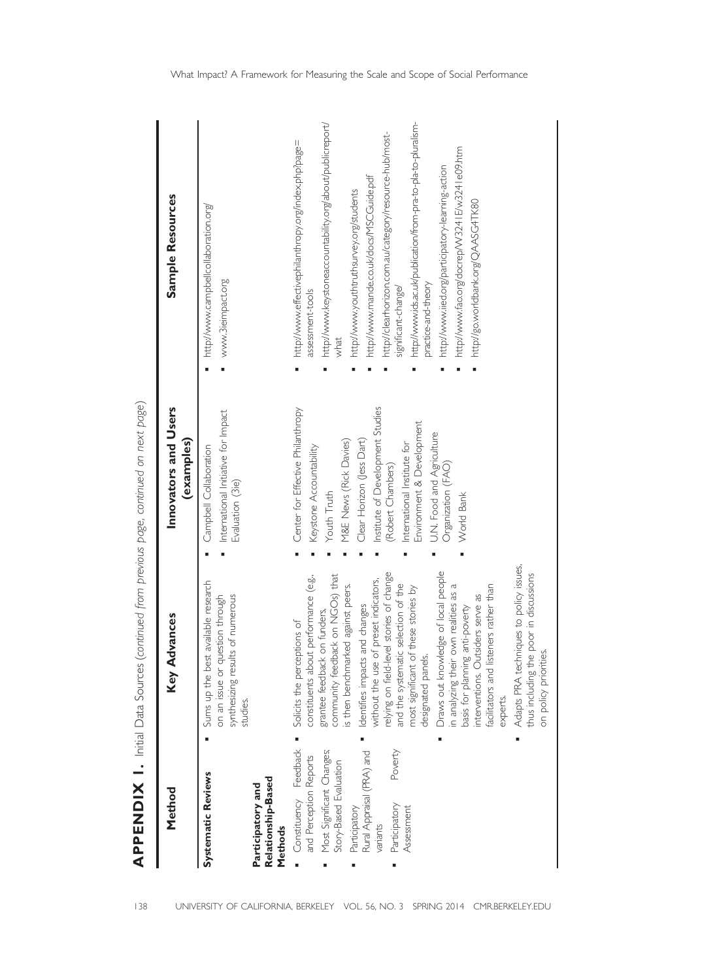| Method                                                                                                                                                                                                     | Advances<br>Key                                                                                                                                                                                                                                                                                                                                                                                                                                                                                                                                                                                                                                                                                                                              | Innovators and Users<br>(examples)                                                                                                                                                                                                                                                                                       | Sample Resources                                                                                                                                                                                                                                                                                                                                                                                                                                                                                                                                            |
|------------------------------------------------------------------------------------------------------------------------------------------------------------------------------------------------------------|----------------------------------------------------------------------------------------------------------------------------------------------------------------------------------------------------------------------------------------------------------------------------------------------------------------------------------------------------------------------------------------------------------------------------------------------------------------------------------------------------------------------------------------------------------------------------------------------------------------------------------------------------------------------------------------------------------------------------------------------|--------------------------------------------------------------------------------------------------------------------------------------------------------------------------------------------------------------------------------------------------------------------------------------------------------------------------|-------------------------------------------------------------------------------------------------------------------------------------------------------------------------------------------------------------------------------------------------------------------------------------------------------------------------------------------------------------------------------------------------------------------------------------------------------------------------------------------------------------------------------------------------------------|
| <b>Systematic Reviews</b><br>Relationship-Based<br>Participatory and<br>Methods                                                                                                                            | Sums up the best available research<br>synthesizing results of numerous<br>question through<br>on an issue or<br>studies.                                                                                                                                                                                                                                                                                                                                                                                                                                                                                                                                                                                                                    | International Initiative for Impact<br>Campbell Collaboration<br>Evaluation (3ie)                                                                                                                                                                                                                                        | http://www.campbellcollaboration.org/<br>www.3ieimpact.org                                                                                                                                                                                                                                                                                                                                                                                                                                                                                                  |
| Constituency Feedback<br>Poverty<br>Most Significant Changes;<br>Rural Appraisal (PRA) and<br>and Perception Reports<br>Story-Based Evaluation<br>Participatory<br>Participatory<br>Assessment<br>variants | Adapts PRA techniques to policy issues,<br>Draws out knowledge of local people<br>relying on field-level stories of change<br>thus including the poor in discussions<br>community feedback on NGOs) that<br>constituents about performance (e.g.,<br>without the use of preset indicators,<br>is then benchmarked against peers.<br>and the systematic selection of the<br>in analyzing their own realities as a<br>listeners rather than<br>most significant of these stories by<br>Outsiders serve as<br>Identifies impacts and changes<br>basis for planning anti-poverty<br>grantee feedback on funders,<br>Solicits the perceptions of<br>on policy priorities.<br>designated panels.<br>facilitators and<br>interventions.<br>experts. | Institute of Development Studies<br>Center for Effective Philanthropy<br>Environment & Development<br>U.N. Food and Agriculture<br>M&E News (Rick Davies)<br>Clear Horizon (Jess Dart)<br>International Institute for<br>Keystone Accountability<br>Organization (FAO)<br>(Robert Chambers)<br>Youth Truth<br>World Bank | http://www.ids.ac.uk/publication/from-pra-to-pla-to-pluralism-<br>http://www.keystoneaccountability.org/about/publicreport/<br>http://clearhorizon.com.au/category/resource-hub/most-<br>http://www.effectivephilanthropy.org/index.php?page=<br>http://www.fao.org/docrep/W3241E/w3241e09.htm<br>http://www.iied.org/participatory-learning-action<br>http://www.mande.co.uk/docs/MSCGuide.pdf<br>http://www.youthtruthsurvey.org/students<br>http://go.worldbank.org/QAASG4TK80<br>practice-and-theory<br>significant-change/<br>assessment-tools<br>what |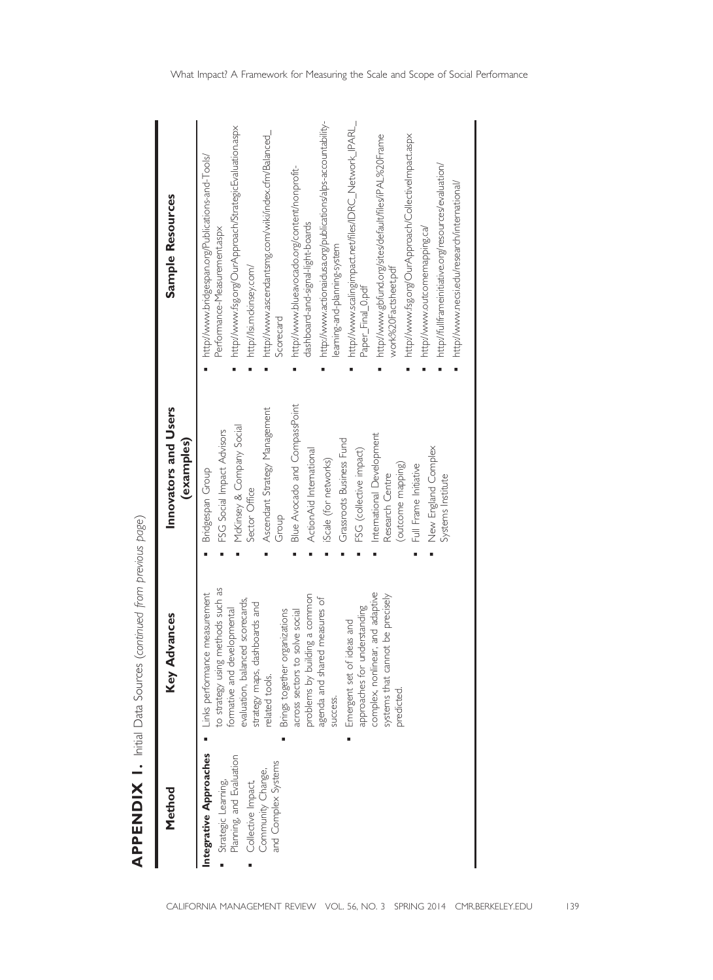| Method                                                                                                                                      | Advances<br>Key                                                                                                                                                                                                                                                                                                                                                                                                                                                                                     | Innovators and Users<br>(examples)                                                                                                                                                                                                                                                                                                                                                                                           | Sample Resources                                                                                                                                                                                                                                                                                                                                                                                                                                                                                                                                                                                                                                                                                                                                                                                    |
|---------------------------------------------------------------------------------------------------------------------------------------------|-----------------------------------------------------------------------------------------------------------------------------------------------------------------------------------------------------------------------------------------------------------------------------------------------------------------------------------------------------------------------------------------------------------------------------------------------------------------------------------------------------|------------------------------------------------------------------------------------------------------------------------------------------------------------------------------------------------------------------------------------------------------------------------------------------------------------------------------------------------------------------------------------------------------------------------------|-----------------------------------------------------------------------------------------------------------------------------------------------------------------------------------------------------------------------------------------------------------------------------------------------------------------------------------------------------------------------------------------------------------------------------------------------------------------------------------------------------------------------------------------------------------------------------------------------------------------------------------------------------------------------------------------------------------------------------------------------------------------------------------------------------|
| Integrative Approaches<br>Planning, and Evaluation<br>and Complex Systems<br>Community Change,<br>Strategic Learning,<br>Collective Impact, | to strategy using methods such as<br>Links performance measurement<br>complex, nonlinear, and adaptive<br>problems by building a common<br>systems that cannot be precisely<br>agenda and shared measures of<br>evaluation, balanced scorecards,<br>strategy maps, dashboards and<br>approaches for understanding<br>formative and developmental<br>Brings together organizations<br>across sectors to solve social<br>Emergent set of ideas and<br>related tools.<br><b>SUCCESS.</b><br>predicted. | Blue Avocado and CompassPoint<br>Ascendant Strategy Management<br>McKinsey & Company Social<br>FSG Social Impact Advisors<br>International Development<br>Grassroots Business Fund<br>ActionAid International<br>FSG (collective impact)<br>New England Complex<br>iScale (for networks)<br>(outcome mapping)<br>Full Frame Initiative<br>Bridgespan Group<br>Research Centre<br>Systems Institute<br>Sector Office<br>Group | http://www.actionaidusa.org/publications/alps-accountability-<br>http://www.scalingimpact.net/files/IDRC_Network_IPARL_<br>http://www.fsg.org/OurApproach/StrategicEvaluation.aspx<br>http://www.ascendantsmg.com/wiki/index.cfm/Balanced_<br>http://www.gbfund.org/sites/default/files/iPAL%20Frame<br>http://www.fsg.org/OurApproach/CollectiveImpact.aspx<br>http://www.bridgespan.org/Publications-and-Tools/<br>http://fullframeinitiative.org/resources/evaluation/<br>http://www.blueavocado.org/content/nonprofit-<br>http://www.necsi.edu/research/intemational/<br>dashboard-and-signal-light-boards<br>http://www.outcomemapping.ca/<br>Performance-Measurementaspx<br>leaming-and-planning-system<br>http://lsi.mckinsey.com/<br>work%20Factsheet.pdf<br>Paper_Final_0.pdf<br>Scorecard |

**APPENDIX 1.** Initial Data Sources (continued from previous page) (continued from previous page) APPENDIX 1. Initial Data Sources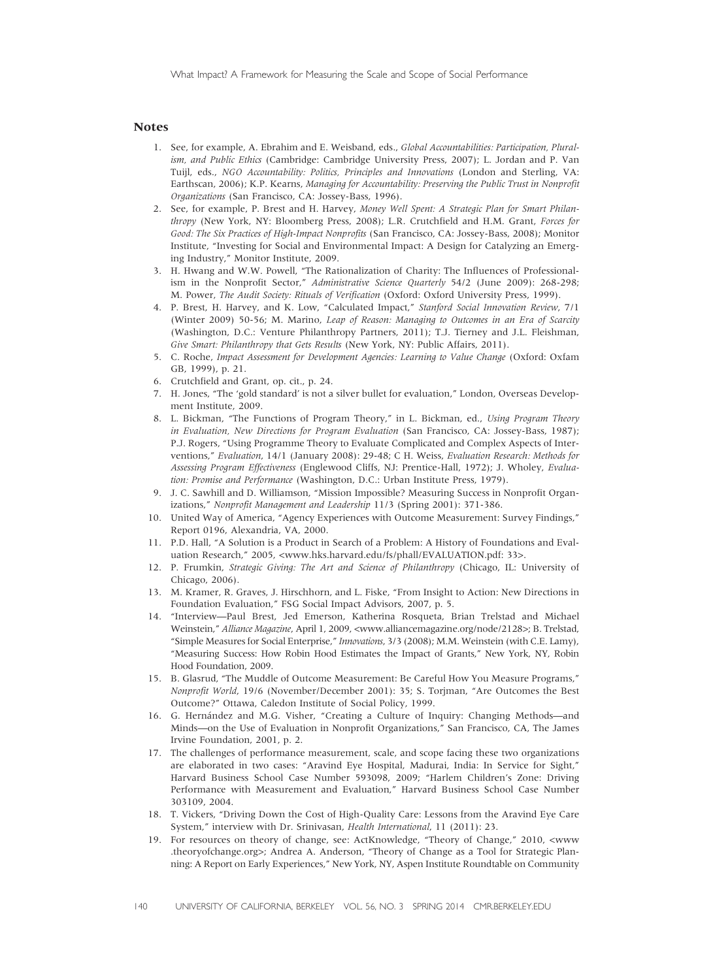# Notes

- 1. See, for example, A. Ebrahim and E. Weisband, eds., Global Accountabilities: Participation, Pluralism, and Public Ethics (Cambridge: Cambridge University Press, 2007); L. Jordan and P. Van Tuijl, eds., NGO Accountability: Politics, Principles and Innovations (London and Sterling, VA: Earthscan, 2006); K.P. Kearns, Managing for Accountability: Preserving the Public Trust in Nonprofit Organizations (San Francisco, CA: Jossey-Bass, 1996).
- 2. See, for example, P. Brest and H. Harvey, Money Well Spent: A Strategic Plan for Smart Philanthropy (New York, NY: Bloomberg Press, 2008); L.R. Crutchfield and H.M. Grant, Forces for Good: The Six Practices of High-Impact Nonprofits (San Francisco, CA: Jossey-Bass, 2008); Monitor Institute, "Investing for Social and Environmental Impact: A Design for Catalyzing an Emerging Industry," Monitor Institute, 2009.
- 3. H. Hwang and W.W. Powell, "The Rationalization of Charity: The Influences of Professionalism in the Nonprofit Sector," Administrative Science Quarterly 54/2 (June 2009): 268-298; M. Power, The Audit Society: Rituals of Verification (Oxford: Oxford University Press, 1999).
- 4. P. Brest, H. Harvey, and K. Low, "Calculated Impact," Stanford Social Innovation Review, 7/1 (Winter 2009) 50-56; M. Marino, Leap of Reason: Managing to Outcomes in an Era of Scarcity (Washington, D.C.: Venture Philanthropy Partners, 2011); T.J. Tierney and J.L. Fleishman, Give Smart: Philanthropy that Gets Results (New York, NY: Public Affairs, 2011).
- 5. C. Roche, Impact Assessment for Development Agencies: Learning to Value Change (Oxford: Oxfam GB, 1999), p. 21.
- 6. Crutchfield and Grant, op. cit., p. 24.
- 7. H. Jones, "The 'gold standard' is not a silver bullet for evaluation," London, Overseas Development Institute, 2009.
- 8. L. Bickman, "The Functions of Program Theory," in L. Bickman, ed., Using Program Theory in Evaluation, New Directions for Program Evaluation (San Francisco, CA: Jossey-Bass, 1987); P.J. Rogers, "Using Programme Theory to Evaluate Complicated and Complex Aspects of Interventions," Evaluation, 14/1 (January 2008): 29-48; C H. Weiss, Evaluation Research: Methods for Assessing Program Effectiveness (Englewood Cliffs, NJ: Prentice-Hall, 1972); J. Wholey, Evaluation: Promise and Performance (Washington, D.C.: Urban Institute Press, 1979).
- 9. J. C. Sawhill and D. Williamson, "Mission Impossible? Measuring Success in Nonprofit Organizations," Nonprofit Management and Leadership 11/3 (Spring 2001): 371-386.
- 10. United Way of America, "Agency Experiences with Outcome Measurement: Survey Findings," Report 0196, Alexandria, VA, 2000.
- 11. P.D. Hall, "A Solution is a Product in Search of a Problem: A History of Foundations and Evaluation Research," 2005, <www.hks.harvard.edu/fs/phall/EVALUATION.pdf: 33>.
- 12. P. Frumkin, Strategic Giving: The Art and Science of Philanthropy (Chicago, IL: University of Chicago, 2006).
- 13. M. Kramer, R. Graves, J. Hirschhorn, and L. Fiske, "From Insight to Action: New Directions in Foundation Evaluation," FSG Social Impact Advisors, 2007, p. 5.
- 14. "Interview—Paul Brest, Jed Emerson, Katherina Rosqueta, Brian Trelstad and Michael Weinstein," Alliance Magazine, April 1, 2009, <www.alliancemagazine.org/node/2128>; B. Trelstad, "Simple Measures for Social Enterprise," Innovations, 3/3 (2008); M.M. Weinstein (with C.E. Lamy), "Measuring Success: How Robin Hood Estimates the Impact of Grants," New York, NY, Robin Hood Foundation, 2009.
- 15. B. Glasrud, "The Muddle of Outcome Measurement: Be Careful How You Measure Programs," Nonprofit World, 19/6 (November/December 2001): 35; S. Torjman, "Are Outcomes the Best Outcome?" Ottawa, Caledon Institute of Social Policy, 1999.
- 16. G. Hernández and M.G. Visher, "Creating a Culture of Inquiry: Changing Methods—and Minds—on the Use of Evaluation in Nonprofit Organizations," San Francisco, CA, The James Irvine Foundation, 2001, p. 2.
- 17. The challenges of performance measurement, scale, and scope facing these two organizations are elaborated in two cases: "Aravind Eye Hospital, Madurai, India: In Service for Sight," Harvard Business School Case Number 593098, 2009; "Harlem Children's Zone: Driving Performance with Measurement and Evaluation," Harvard Business School Case Number 303109, 2004.
- 18. T. Vickers, "Driving Down the Cost of High-Quality Care: Lessons from the Aravind Eye Care System," interview with Dr. Srinivasan, Health International, 11 (2011): 23.
- 19. For resources on theory of change, see: ActKnowledge, "Theory of Change," 2010, <www .theoryofchange.org>; Andrea A. Anderson, "Theory of Change as a Tool for Strategic Planning: A Report on Early Experiences," New York, NY, Aspen Institute Roundtable on Community